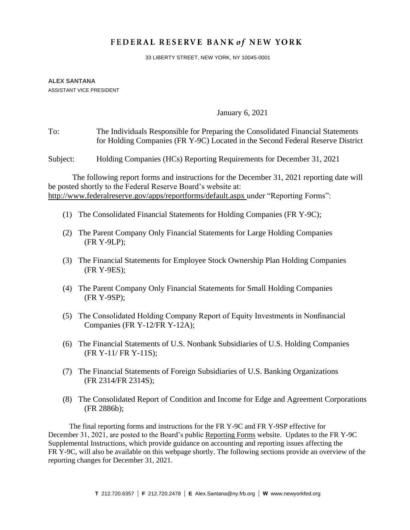# FEDERAL RESERVE BANK of NEW YORK

33 LIBERTY STREET, NEW YORK, NY 10045-0001

#### **ALEX SANTANA** ASSISTANT VICE PRESIDENT

January 6, 2021

## To: The Individuals Responsible for Preparing the Consolidated Financial Statements for Holding Companies (FR Y-9C) Located in the Second Federal Reserve District

Subject: Holding Companies (HCs) Reporting Requirements for December 31, 2021

The following report forms and instructions for the December 31, 2021 reporting date will be posted shortly to the Federal Reserve Board's website at: <http://www.federalreserve.gov/apps/reportforms/default.aspx> under "Reporting Forms":

- (1) The Consolidated Financial Statements for Holding Companies (FR Y-9C);
- (2) The Parent Company Only Financial Statements for Large Holding Companies (FR Y-9LP);
- (3) The Financial Statements for Employee Stock Ownership Plan Holding Companies (FR Y-9ES);
- (4) The Parent Company Only Financial Statements for Small Holding Companies (FR Y-9SP);
- (5) The Consolidated Holding Company Report of Equity Investments in Nonfinancial Companies (FR Y-12/FR Y-12A);
- (6) The Financial Statements of U.S. Nonbank Subsidiaries of U.S. Holding Companies (FR Y-11/ FR Y-11S);
- (7) The Financial Statements of Foreign Subsidiaries of U.S. Banking Organizations (FR 2314/FR 2314S);
- (8) The Consolidated Report of Condition and Income for Edge and Agreement Corporations (FR 2886b);

The final reporting forms and instructions for the FR Y-9C and FR Y-9SP effective for December 31, 2021, are posted to the Board's public [Reporting Forms](https://www.federalreserve.gov/apps/reportforms/default.aspx) website. Updates to the FR Y-9C Supplemental Instructions, which provide guidance on accounting and reporting issues affecting the FR Y-9C, will also be available on this webpage shortly. The following sections provide an overview of the reporting changes for December 31, 2021.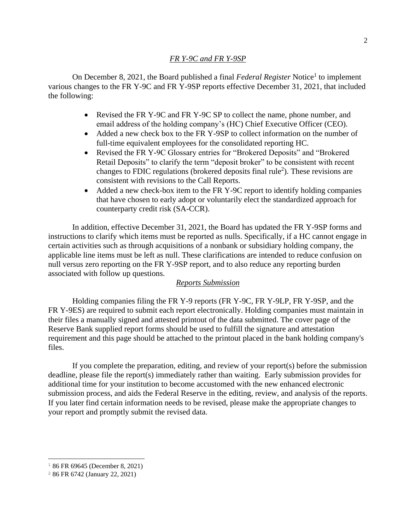## *FR Y-9C and FR Y-9SP*

On December 8, 2021, the Board published a final *Federal Register* Notice<sup>1</sup> to implement various changes to the FR Y-9C and FR Y-9SP reports effective December 31, 2021, that included the following:

- Revised the FR Y-9C and FR Y-9C SP to collect the name, phone number, and email address of the holding company's (HC) Chief Executive Officer (CEO).
- Added a new check box to the FR Y-9SP to collect information on the number of full-time equivalent employees for the consolidated reporting HC.
- Revised the FR Y-9C Glossary entries for "Brokered Deposits" and "Brokered Retail Deposits" to clarify the term "deposit broker" to be consistent with recent changes to FDIC regulations (brokered deposits final rule<sup>2</sup>). These revisions are consistent with revisions to the Call Reports.
- Added a new check-box item to the FR Y-9C report to identify holding companies that have chosen to early adopt or voluntarily elect the standardized approach for counterparty credit risk (SA-CCR).

In addition, effective December 31, 2021, the Board has updated the FR Y-9SP forms and instructions to clarify which items must be reported as nulls. Specifically, if a HC cannot engage in certain activities such as through acquisitions of a nonbank or subsidiary holding company, the applicable line items must be left as null. These clarifications are intended to reduce confusion on null versus zero reporting on the FR Y-9SP report, and to also reduce any reporting burden associated with follow up questions.

## *Reports Submission*

Holding companies filing the FR Y-9 reports (FR Y-9C, FR Y-9LP, FR Y-9SP, and the FR Y-9ES) are required to submit each report electronically. Holding companies must maintain in their files a manually signed and attested printout of the data submitted. The cover page of the Reserve Bank supplied report forms should be used to fulfill the signature and attestation requirement and this page should be attached to the printout placed in the bank holding company's files.

If you complete the preparation, editing, and review of your report(s) before the submission deadline, please file the report(s) immediately rather than waiting. Early submission provides for additional time for your institution to become accustomed with the new enhanced electronic submission process, and aids the Federal Reserve in the editing, review, and analysis of the reports. If you later find certain information needs to be revised, please make the appropriate changes to your report and promptly submit the revised data.

<sup>1</sup> 86 FR 69645 (December 8, 2021)

<sup>2</sup> 86 FR 6742 (January 22, 2021)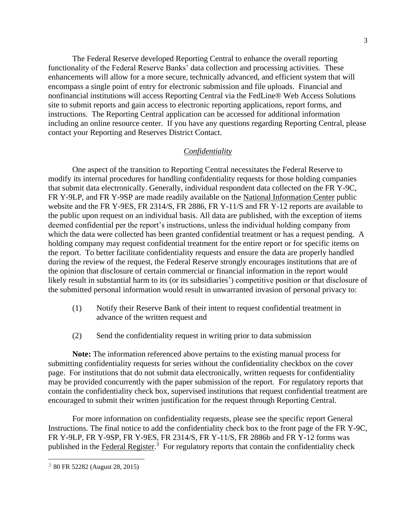The Federal Reserve developed Reporting Central to enhance the overall reporting functionality of the Federal Reserve Banks' data collection and processing activities. These enhancements will allow for a more secure, technically advanced, and efficient system that will encompass a single point of entry for electronic submission and file uploads. Financial and nonfinancial institutions will access Reporting Central via the FedLine® Web Access Solutions site to submit reports and gain access to electronic reporting applications, report forms, and instructions. The [Reporting Central application](https://www.frbservices.org/central-bank/reporting-central/) can be accessed for additional information including an online resource center. If you have any questions regarding Reporting Central, please contact your Reporting and Reserves District Contact.

## *Confidentiality*

One aspect of the transition to Reporting Central necessitates the Federal Reserve to modify its internal procedures for handling confidentiality requests for those holding companies that submit data electronically. Generally, individual respondent data collected on the FR Y-9C, FR Y-9LP, and FR Y-9SP are made readily available on the [National Information Center](https://www.ffiec.gov/NPW) public website and the FR Y-9ES, FR 2314/S, FR 2886, FR Y-11/S and FR Y-12 reports are available to the public upon request on an individual basis. All data are published, with the exception of items deemed confidential per the report's instructions, unless the individual holding company from which the data were collected has been granted confidential treatment or has a request pending. A holding company may request confidential treatment for the entire report or for specific items on the report. To better facilitate confidentiality requests and ensure the data are properly handled during the review of the request, the Federal Reserve strongly encourages institutions that are of the opinion that disclosure of certain commercial or financial information in the report would likely result in substantial harm to its (or its subsidiaries') competitive position or that disclosure of the submitted personal information would result in unwarranted invasion of personal privacy to:

- (1) Notify their Reserve Bank of their intent to request confidential treatment in advance of the written request and
- (2) Send the confidentiality request in writing prior to data submission

**Note:** The information referenced above pertains to the existing manual process for submitting confidentiality requests for series without the confidentiality checkbox on the cover page. For institutions that do not submit data electronically, written requests for confidentiality may be provided concurrently with the paper submission of the report. For regulatory reports that contain the confidentiality check box, supervised institutions that request confidential treatment are encouraged to submit their written justification for the request through Reporting Central.

For more information on confidentiality requests, please see the specific report General Instructions. The final notice to add the confidentiality check box to the front page of the FR Y-9C, FR Y-9LP, FR Y-9SP, FR Y-9ES, FR 2314/S, FR Y-11/S, FR 2886b and FR Y-12 forms was published in the [Federal Register.](http://www.gpo.gov/fdsys/pkg/FR-2015-08-28/pdf/2015-21367.pdf)<sup>3</sup> For regulatory reports that contain the confidentiality check

<sup>3</sup> 80 FR 52282 (August 28, 2015)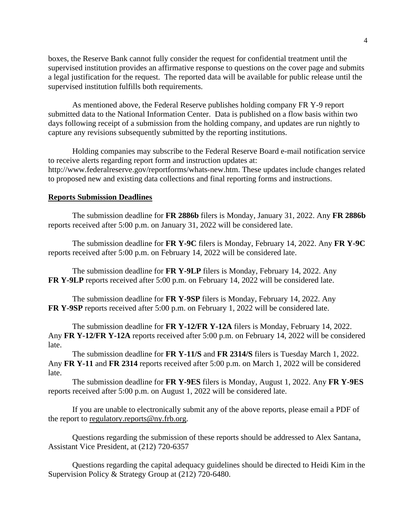boxes, the Reserve Bank cannot fully consider the request for confidential treatment until the supervised institution provides an affirmative response to questions on the cover page and submits a legal justification for the request. The reported data will be available for public release until the supervised institution fulfills both requirements.

As mentioned above, the Federal Reserve publishes holding company FR Y-9 report submitted data to the [National Information Center.](https://www.ffiec.gov/NPW) Data is published on a flow basis within two days following receipt of a submission from the holding company, and updates are run nightly to capture any revisions subsequently submitted by the reporting institutions.

Holding companies may subscribe to the Federal Reserve Board e-mail notification service to receive alerts regarding report form and instruction updates at: [http://www.federalreserve.gov/reportforms/whats-new.htm.](http://www.federalreserve.gov/reportforms/whats-new.htm) These updates include changes related to proposed new and existing data collections and final reporting forms and instructions.

## **Reports Submission Deadlines**

The submission deadline for **FR 2886b** filers is Monday, January 31, 2022. Any **FR 2886b** reports received after 5:00 p.m. on January 31, 2022 will be considered late.

The submission deadline for **FR Y-9C** filers is Monday, February 14, 2022. Any **FR Y-9C** reports received after 5:00 p.m. on February 14, 2022 will be considered late.

The submission deadline for **FR Y-9LP** filers is Monday, February 14, 2022. Any **FR Y-9LP** reports received after 5:00 p.m. on February 14, 2022 will be considered late.

The submission deadline for **FR Y-9SP** filers is Monday, February 14, 2022. Any **FR Y-9SP** reports received after 5:00 p.m. on February 1, 2022 will be considered late.

The submission deadline for **FR Y-12/FR Y-12A** filers is Monday, February 14, 2022. Any **FR Y-12/FR Y-12A** reports received after 5:00 p.m. on February 14, 2022 will be considered late.

The submission deadline for **FR Y-11/S** and **FR 2314/S** filers is Tuesday March 1, 2022. Any **FR Y-11** and **FR 2314** reports received after 5:00 p.m. on March 1, 2022 will be considered late.

The submission deadline for **FR Y-9ES** filers is Monday, August 1, 2022. Any **FR Y-9ES**  reports received after 5:00 p.m. on August 1, 2022 will be considered late.

If you are unable to electronically submit any of the above reports, please email a PDF of the report to [regulatory.reports@ny.frb.org.](mailto:regulatory.reports@ny.frb.org)

Questions regarding the submission of these reports should be addressed to Alex Santana, Assistant Vice President, at (212) 720-6357

Questions regarding the capital adequacy guidelines should be directed to Heidi Kim in the Supervision Policy & Strategy Group at (212) 720-6480.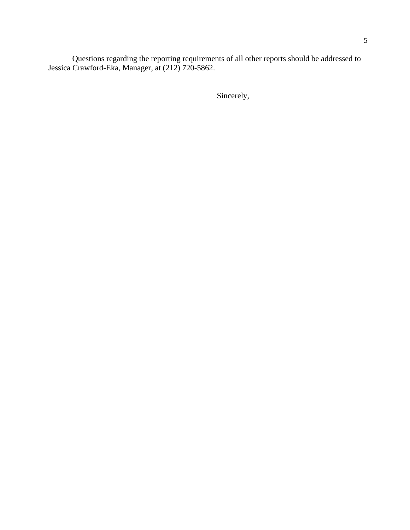Questions regarding the reporting requirements of all other reports should be addressed to Jessica Crawford-Eka, Manager, at (212) 720-5862.

Sincerely,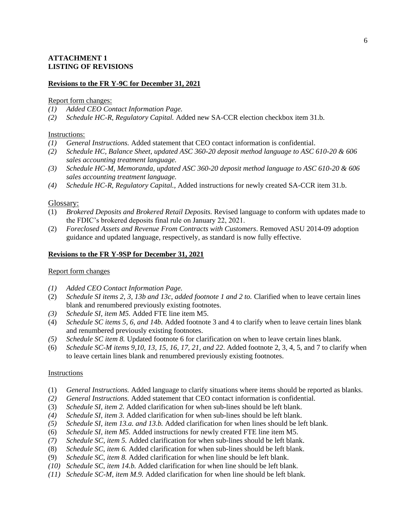## **ATTACHMENT 1 LISTING OF REVISIONS**

#### **Revisions to the FR Y-9C for December 31, 2021**

#### Report form changes:

- *(1) Added CEO Contact Information Page.*
- *(2) Schedule HC-R, Regulatory Capital.* Added new SA-CCR election checkbox item 31.b.

#### Instructions:

- *(1) General Instructions.* Added statement that CEO contact information is confidential.
- *(2) Schedule HC, Balance Sheet, updated ASC 360-20 deposit method language to ASC 610-20 & 606 sales accounting treatment language.*
- *(3) Schedule HC-M, Memoranda, updated ASC 360-20 deposit method language to ASC 610-20 & 606 sales accounting treatment language.*
- *(4) Schedule HC-R, Regulatory Capital.,* Added instructions for newly created SA-CCR item 31.b.

#### Glossary:

- (1) *Brokered Deposits and Brokered Retail Deposits.* Revised language to conform with updates made to the FDIC's brokered deposits final rule on January 22, 2021.
- (2) *Foreclosed Assets and Revenue From Contracts with Customers*. Removed ASU 2014-09 adoption guidance and updated language, respectively, as standard is now fully effective.

#### **Revisions to the FR Y-9SP for December 31, 2021**

#### Report form changes

- *(1) Added CEO Contact Information Page.*
- (2) *Schedule SI items 2, 3, 13b and 13c, added footnote 1 and 2 to.* Clarified when to leave certain lines blank and renumbered previously existing footnotes.
- *(3) Schedule SI, item M5.* Added FTE line item M5.
- (4) *Schedule SC items 5, 6, and 14b.* Added footnote 3 and 4 to clarify when to leave certain lines blank and renumbered previously existing footnotes.
- *(5) Schedule SC item 8.* Updated footnote 6 for clarification on when to leave certain lines blank.
- (6) *Schedule SC-M items 9,10, 13, 15, 16, 17, 21, and 22*. Added footnote 2, 3, 4, 5, and 7 to clarify when to leave certain lines blank and renumbered previously existing footnotes.

#### Instructions

- (1) *General Instructions.* Added language to clarify situations where items should be reported as blanks.
- *(2) General Instructions.* Added statement that CEO contact information is confidential.
- (3) *Schedule SI, item 2.* Added clarification for when sub-lines should be left blank.
- *(4) Schedule SI, item 3.* Added clarification for when sub-lines should be left blank.
- *(5) Schedule SI, item 13.a. and 13.b.* Added clarification for when lines should be left blank.
- (6) *Schedule SI, item M5.* Added instructions for newly created FTE line item M5.
- *(7) Schedule SC, item 5.* Added clarification for when sub-lines should be left blank.
- (8) *Schedule SC, item 6.* Added clarification for when sub-lines should be left blank.
- (9) *Schedule SC, item 8.* Added clarification for when line should be left blank.
- *(10) Schedule SC, item 14.b.* Added clarification for when line should be left blank.
- *(11) Schedule SC-M, item M.9.* Added clarification for when line should be left blank.